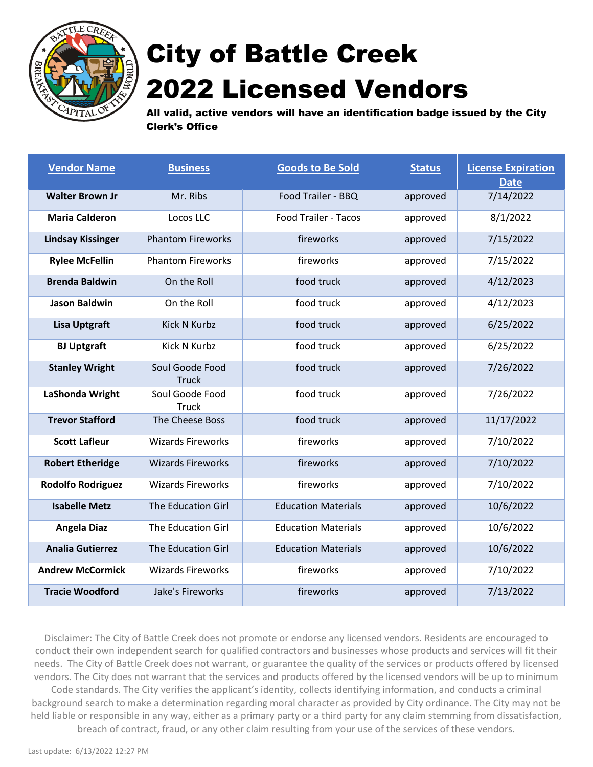

## City of Battle Creek 2022 Licensed Vendors

All valid, active vendors will have an identification badge issued by the City Clerk's Office

| <b>Vendor Name</b>       | <b>Business</b>                 | <b>Goods to Be Sold</b>     | <b>Status</b> | <b>License Expiration</b> |
|--------------------------|---------------------------------|-----------------------------|---------------|---------------------------|
|                          |                                 |                             |               | <b>Date</b>               |
| <b>Walter Brown Jr</b>   | Mr. Ribs                        | Food Trailer - BBQ          | approved      | 7/14/2022                 |
| <b>Maria Calderon</b>    | Locos LLC                       | <b>Food Trailer - Tacos</b> | approved      | 8/1/2022                  |
| <b>Lindsay Kissinger</b> | <b>Phantom Fireworks</b>        | fireworks                   | approved      | 7/15/2022                 |
| <b>Rylee McFellin</b>    | <b>Phantom Fireworks</b>        | fireworks                   | approved      | 7/15/2022                 |
| <b>Brenda Baldwin</b>    | On the Roll                     | food truck                  | approved      | 4/12/2023                 |
| <b>Jason Baldwin</b>     | On the Roll                     | food truck                  | approved      | 4/12/2023                 |
| <b>Lisa Uptgraft</b>     | <b>Kick N Kurbz</b>             | food truck                  | approved      | 6/25/2022                 |
| <b>BJ Uptgraft</b>       | <b>Kick N Kurbz</b>             | food truck                  | approved      | 6/25/2022                 |
| <b>Stanley Wright</b>    | Soul Goode Food<br><b>Truck</b> | food truck                  | approved      | 7/26/2022                 |
| LaShonda Wright          | Soul Goode Food<br><b>Truck</b> | food truck                  | approved      | 7/26/2022                 |
| <b>Trevor Stafford</b>   | The Cheese Boss                 | food truck                  | approved      | 11/17/2022                |
| <b>Scott Lafleur</b>     | <b>Wizards Fireworks</b>        | fireworks                   | approved      | 7/10/2022                 |
| <b>Robert Etheridge</b>  | <b>Wizards Fireworks</b>        | fireworks                   | approved      | 7/10/2022                 |
| <b>Rodolfo Rodriguez</b> | <b>Wizards Fireworks</b>        | fireworks                   | approved      | 7/10/2022                 |
| <b>Isabelle Metz</b>     | <b>The Education Girl</b>       | <b>Education Materials</b>  | approved      | 10/6/2022                 |
| <b>Angela Diaz</b>       | <b>The Education Girl</b>       | <b>Education Materials</b>  | approved      | 10/6/2022                 |
| <b>Analia Gutierrez</b>  | <b>The Education Girl</b>       | <b>Education Materials</b>  | approved      | 10/6/2022                 |
| <b>Andrew McCormick</b>  | <b>Wizards Fireworks</b>        | fireworks                   | approved      | 7/10/2022                 |
| <b>Tracie Woodford</b>   | Jake's Fireworks                | fireworks                   | approved      | 7/13/2022                 |

Disclaimer: The City of Battle Creek does not promote or endorse any licensed vendors. Residents are encouraged to conduct their own independent search for qualified contractors and businesses whose products and services will fit their needs. The City of Battle Creek does not warrant, or guarantee the quality of the services or products offered by licensed vendors. The City does not warrant that the services and products offered by the licensed vendors will be up to minimum

Code standards. The City verifies the applicant's identity, collects identifying information, and conducts a criminal background search to make a determination regarding moral character as provided by City ordinance. The City may not be held liable or responsible in any way, either as a primary party or a third party for any claim stemming from dissatisfaction, breach of contract, fraud, or any other claim resulting from your use of the services of these vendors.